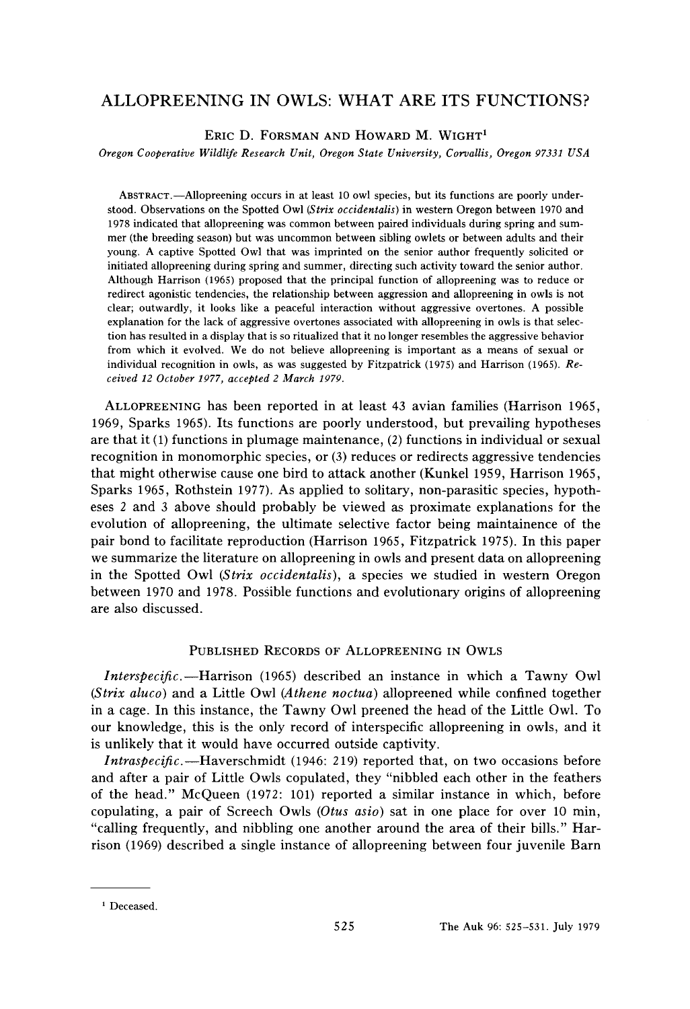# **ALLOPREENING IN OWLS: WHAT ARE ITS FUNCTIONS?**

ERIC D. FORSMAN AND HOWARD M. WIGHT<sup>1</sup>

**Oregon Cooperative Wildlife Research Unit, Oregon State University, Corvallis, Oregon 97331 USA** 

ABSTRACT.—Allopreening occurs in at least 10 owl species, but its functions are poorly under**stood. Observations on the Spotted Owl (Strix occidentalis) in western Oregon between 1970 and 1978 indicated that allopreening was common between paired individuals during spring and summer (the breeding season) but was uncommon between sibling owlets or between adults and their young. A captive Spotted Owl that was imprinted on the senior author frequently solicited or initiated allopreening during spring and summer, directing such activity toward the senior author. Although Harrison (1965) proposed that the principal function of allopreening was to reduce or redirect agonistic tendencies, the relationship between aggression and allopreening in owls is not clear; outwardly, it looks like a peaceful interaction without aggressive overtones. A possible explanation for the lack of aggressive overtones associated with allopreening in owls is that selection has resulted in a display that is so ritualized that it no longer resembles the aggressive behavior from which it evolved. We do not believe allopreening is important as a means of sexual or individual recognition in owls, as was suggested by Fitzpatrick (1975) and Harrison (1965). Received 12 October 1977, accepted 2 March 1979.** 

**ALLOPREENING has been reported in at least 43 avian families (Harrison 1965, 1969, Sparks 1965). Its functions are poorly understood, but prevailing hypotheses are that it (1) functions in plumage maintenance, (2) functions in individual or sexual recognition in monomorphic species, or (3) reduces or redirects aggressive tendencies that might otherwise cause one bird to attack another (Kunkel 1959, Harrison 1965, Sparks 1965, Rothstein 1977). As applied to solitary, non-parasitic species, hypotheses 2 and 3 above should probably be viewed as proximate explanations for the evolution of allopreening, the ultimate selective factor being maintainence of the pair bond to facilitate reproduction (Harrison 1965, Fitzpatrick 1975). In this paper we summarize the literature on allopreening in owls and present data on allopreening in the Spotted Owl (Strix occidentalis), a species we studied in western Oregon between 1970 and 1978. Posgible functions and evolutionary origins of allopreening are also discussed.** 

### **PUBLISHED RECORDS OF ALLOPREENING IN OWLS**

**Interspecific.--Harrison (1965) described an instance in which a Tawny Owl (Strix aluco) and a Little Owl (Athene noctua) allopreened while confined together in a cage. In this instance, the Tawny Owl preened the head of the Little Owl. To our knowledge, this is the only record of interspecific allopreening in owls, and it is unlikely that it would have occurred outside captivity.** 

**Intraspecific.--Haverschmidt (1946:219) reported that, on two occasions before and after a pair of Little Owls copulated, they "nibbled each other in the feathers of the head." McQueen (1972: 101) reported a similar instance in which, before copulating, a pair of Screech Owls (Otus asio) sat in one place for over 10 min, "calling frequently, and nibbling one another around the area of their bills." Harrison (1969) described a single instance of allopreening between four juvenile Barn** 

**I Deceased.**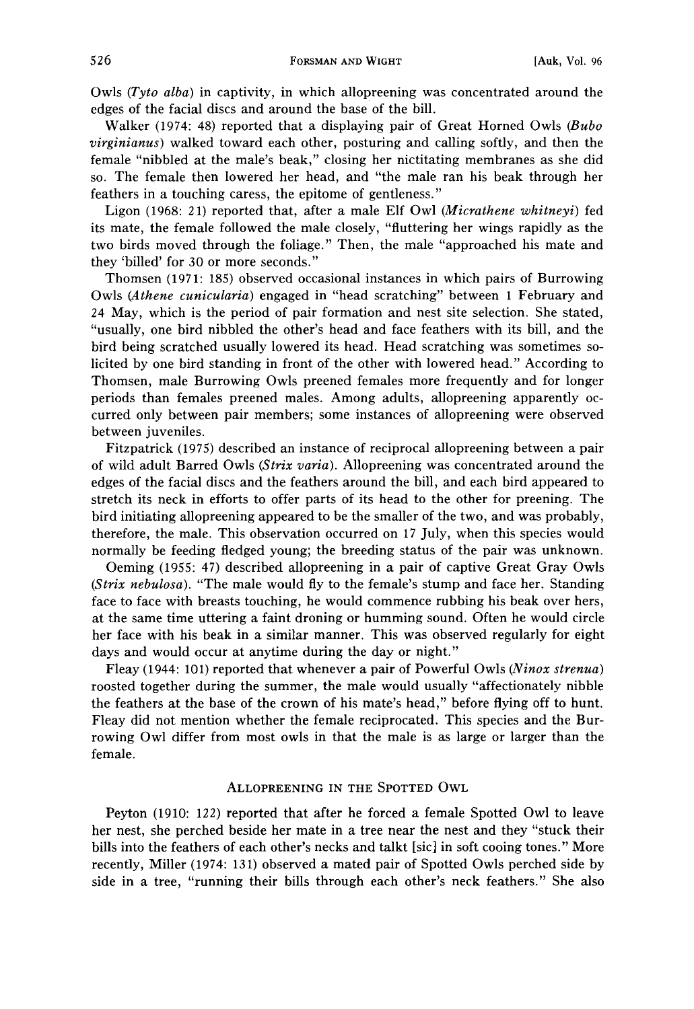**Owls (Tyto alba) in captivity, in which allopreening was concentrated around the edges of the facial discs and around the base of the bill.** 

**Walker (1974: 48) reported that a displaying pair of Great Horned Owls (Bubo virginianus) walked toward each other, posturing and calling softly, and then the female "nibbled at the male's beak," closing her nictitating membranes as she did so. The female then lowered her head, and "the male ran his beak through her feathers in a touching caress, the epitome of gentleness."** 

**Ligon (1968: 21) reported that, after a male Elf Owl (Micrathene whitneyi) fed its mate, the female followed the male closely, "fluttering her wings rapidly as the two birds moved through the foliage." Then, the male "approached his mate and they 'billed' for 30 or more seconds."** 

**Thomsen (1971: 185) observed occasional instances in which pairs of Burrowing Owls (Athene cunicularia) engaged in "head scratching" between 1 February and 24 May, which is the period of pair formation and nest site selection. She stated, "usually, one bird nibbled the other's head and face feathers with its bill, and the bird being scratched usually lowered its head. Head scratching was sometimes solicited by one bird standing in front of the other with lowered head." According to Thomsen, male Burrowing Owls preened females more frequently and for longer periods than females preened males. Among adults, allopreening apparently occurred only between pair members; some instances of allopreening were observed between juveniles.** 

**Fitzpatrick (1975) described an instance of reciprocal allopreening between a pair of wild adult Barred Owls (Strix varia). Allopreening was concentrated around the edges of the facial discs and the feathers around the bill, and each bird appeared to stretch its neck in efforts to offer parts of its head to the other for preening. The bird initiating allopreening appeared to be the smaller of the two, and was probably, therefore, the male. This observation occurred on 17 July, when this species would normally be feeding fledged young; the breeding status of the pair was unknown.** 

**Oeming (1955: 47) described allopreening in a pair of captive Great Gray Owls (Strix nebulosa). "The male would fly to the female's stump and face her. Standing face to face with breasts touching, he would commence rubbing his beak over hers, at the same time uttering a faint droning or humming sound. Often he would circle her face with his beak in a similar manner. This was observed regularly for eight days and would occur at anytime during the day or night."** 

**Fleay (1944: 101) reported that whenever a pair of Powerful Owls (Ninox strenua) roosted together during the summer, the male would usually "affectionately nibble the feathers at the base of the crown of his mate's head," before flying off to hunt. Fleay did not mention whether the female reciprocated. This species and the Burrowing Owl differ from most owls in that the male is as large or larger than the female.** 

### **ALLOPREENING IN THE SPOTTED OWL**

**Peyton (1910: 122) reported that after he forced a female Spotted Owl to leave her nest, she perched beside her mate in a tree near the nest and they "stuck their bills into the feathers of each other's necks and talkt [sic] in soft cooing tones." More recently, Miller (1974: 131) observed a mated pair of Spotted Owls perched side by side in a tree, "running their bills through each other's neck feathers." She also**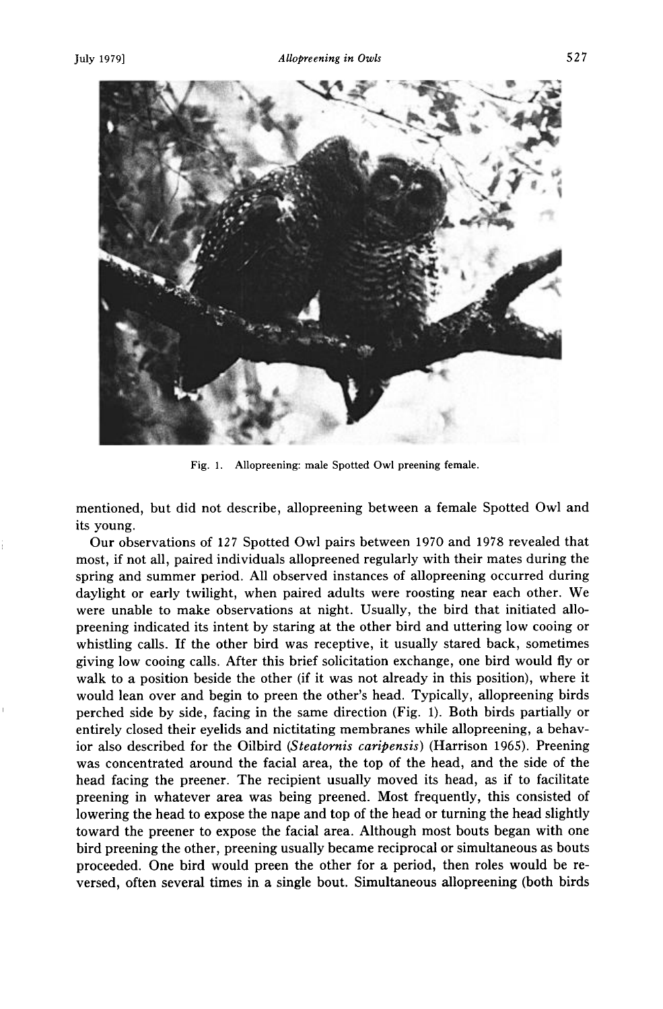

**Fig. 1. Allopreening: male Spotted Owl preening female.** 

**mentioned, but did not describe, allopreening between a female Spotted Owl and its young.** 

**Our observations of 127 Spotted Owl pairs between 1970 and 1978 revealed that most, if not all, paired individuals allopreened regularly with their mates during the spring and summer period. All observed instances of allopreening occurred during daylight or early twilight, when paired adults were roosting near each other. We were unable to make observations at night. Usually, the bird that initiated allopreening indicated its intent by staring at the other bird and uttering low cooing or whistling calls. If the other bird was receptive, it usually stared back, sometimes giving low cooing calls. After this brief solicitation exchange, one bird would fly or walk to a position beside the other (if it was not already in this position), where it would lean over and begin to preen the other's head. Typically, allopreening birds perched side by side, facing in the same direction (Fig. 1). Both birds partially or entirely closed their eyelids and nictitating membranes while allopreening, a behavior also described for the Oilbird (Steatornis caripensis) (Harrison 1965). Preening was concentrated around the facial area, the top of the head, and the side of the head facing the preener. The recipient usually moved its head, as if to facilitate preening in whatever area was being preened. Most frequently, this consisted of lowering the head to expose the nape and top of the head or turning the head slightly toward the preener to expose the facial area. Although most bouts began with one bird preening the other, preening usually became reciprocal or simultaneous as bouts proceeded. One bird would preen the other for a period, then roles would be reversed, often several times in a single bout. Simultaneous allopreening (both birds**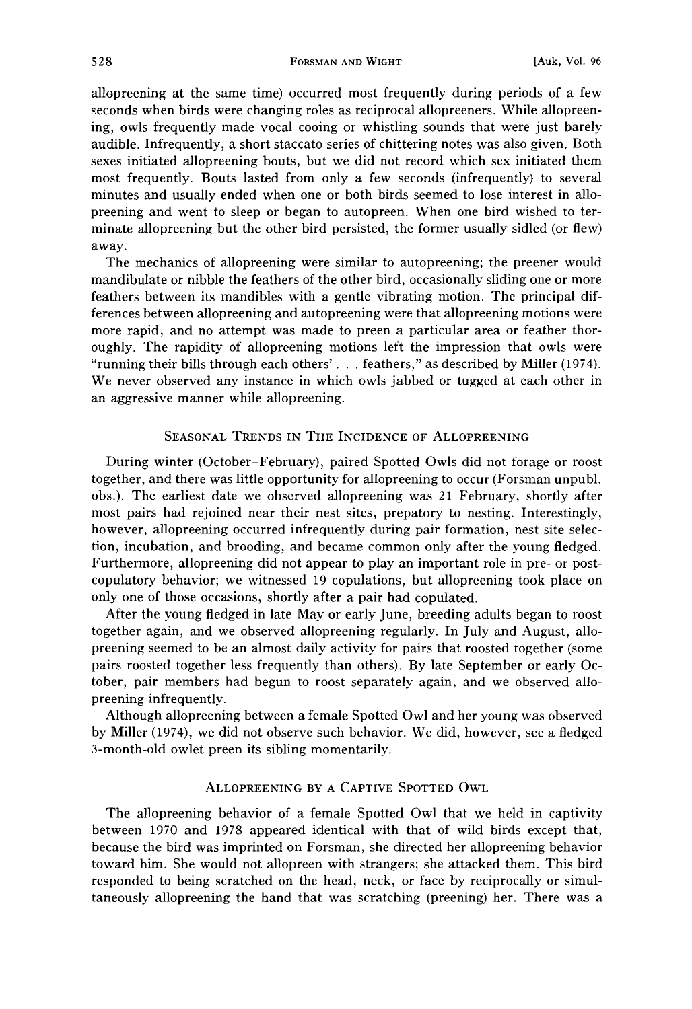**allopreening at the same time) occurred most frequently during periods of a few seconds when birds were changing roles as reciprocal allopreeners. While allopreening, owls frequently made vocal cooing or whistling sounds that were just barely audible. Infrequently, a short staccato series of chittering notes was also given. Both sexes initiated allopreening bouts, but we did not record which sex initiated them most frequently. Bouts lasted from only a few seconds (infrequently) to several minutes and usually ended when one or both birds seemed to lose interest in allopreening and went to sleep or began to autopreen. When one bird wished to terminate allopreening but the other bird persisted, the former usually sidled (or flew) away.** 

**The mechanics of allopreening were similar to autopreening; the preener would mandibulate or nibble the feathers of the other bird, occasionally sliding one or more feathers between its mandibles with a gentle vibrating motion. The principal differences between allopreening and autopreening were that allopreening motions were more rapid, and no attempt was made to preen a particular area or feather thoroughly. The rapidity of allopreening motions left the impression that owls were "running their bills through each others'... feathers," as described by Miller (1974). We never observed any instance in which owls jabbed or tugged at each other in an aggressive manner while allopreening.** 

# **SEASONAL TRENDS IN THE INCIDENCE OF ALLOPREENING**

**During winter (October-February), paired Spotted Owls did not forage or roost together, and there was little opportunity for allopreening to occur (Forsman unpubl. obs.). The earliest date we observed allopreening was 21 February, shortly after most pairs had rejoined near their nest sites, prepatory to nesting. Interestingly, however, allopreening occurred infrequently during pair formation, nest site selection, incubation, and brooding, and became common only after the young fledged. Furthermore, allopreening did not appear to play an important role in pre- or postcopulatory behavior; we witnessed 19 copulations, but allopreening took place on only one of those occasions, shortly after a pair had copulated.** 

**After the young fledged in late May or early June, breeding adults began to roost together again, and we observed allopreening regularly. In July and August, allopreening seemed to be an almost daily activity for pairs that roosted together (some pairs roosted together less frequently than others). By late September or early October, pair members had begun to roost separately again, and we observed allopreening infrequently.** 

**Although allopreening between a female Spotted Owl and her young was observed by Miller (1974), we did not observe such behavior. We did, however, see a fledged 3-month-old owlet preen its sibling momentarily.** 

## **ALLOPREENING BY A CAPTIVE SPOTTED OWL**

**The allopreening behavior of a female Spotted Owl that we held in captivity between 1970 and 1978 appeared identical with that of wild birds except that, because the bird was imprinted on Forsman, she directed her allopreening behavior toward him. She would not allopreen with strangers; she attacked them. This bird responded to being scratched on the head, neck, or face by reciprocally or simultaneously allopreening the hand that was scratching (preening) her. There was a**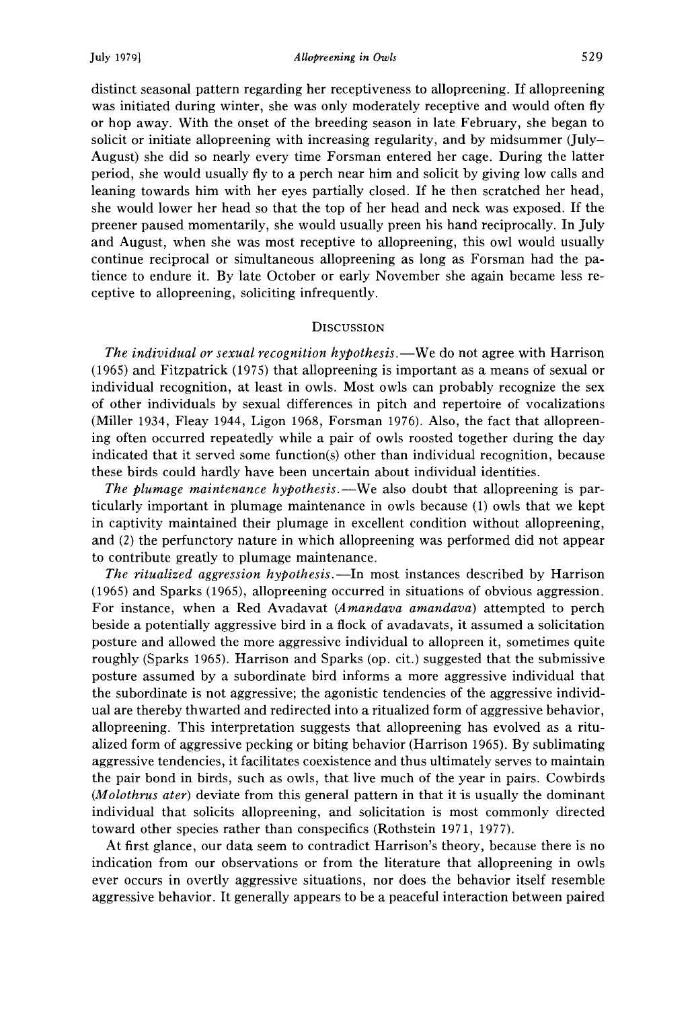**July 1979] Allopreening in Owls 529** 

**distinct seasonal pattern regarding her receptiveness to allopreening. If allopreening was initiated during winter, she was only moderately receptive and would often fly or hop away. With the onset of the breeding season in late February, she began to solicit or initiate allopreening with increasing regularity, and by midsummer (July-August) she did so nearly every time Forsman entered her cage. During the latter period, she would usually fly to a perch near him and solicit by giving low calls and leaning towards him with her eyes partially closed. If he then scratched her head, she would lower her head so that the top of her head and neck was exposed. If the preener paused momentarily, she would usually preen his hand reciprocally. In July and August, when she was most receptive to allopreening, this owl would usually continue reciprocal or simultaneous allopreening as long as Forsman had the patience to endure it. By late October or early November she again became less receptive to allopreening, soliciting infrequently.** 

#### **DISCUSSION**

The individual or sexual recognition hypothesis.—We do not agree with Harrison **(1965) and Fitzpatrick (1975) that allopreening is important as a means of sexual or individual recognition, at least in owls. Most owls can probably recognize the sex of other individuals by sexual differences in pitch and repertoire of vocalizations (Miller 1934, Fleay 1944, Ligon 1968, Forsman 1976). Also, the fact that allopreening often occurred repeatedly while a pair of owls roosted together during the day indicated that it served some function(s) other than individual recognition, because these birds could hardly have been uncertain about individual identities.** 

The plumage maintenance hypothesis.—We also doubt that allopreening is par**ticularly important in plumage maintenance in owls because (1) owls that we kept in captivity maintained their plumage in excellent condition without allopreening, and (2) the perfunctory nature in which allopreening was performed did not appear to contribute greatly to plumage maintenance.** 

The ritualized aggression hypothesis.—In most instances described by Harrison **(1965) and Sparks (1965), allopreening occurred in situations of obvious aggression. For instance, when a Red Avadavat (Amandava amandava) attempted to perch beside a potentially aggressive bird in a flock of avadavats, it assumed a solicitation posture and allowed the more aggressive individual to allopreen it, sometimes quite roughly (Sparks 1965). Harrison and Sparks (op. cit.) suggested that the submissive posture assumed by a subordinate bird informs a more aggressive individual that the subordinate is not aggressive; the agonistic tendencies of the aggressive individual are thereby thwarted and redirected into a ritualized form of aggressive behavior, allopreening. This interpretation suggests that allopreening has evolved as a ritualized form of aggressive pecking or biting behavior (Harrison 1965). By sublimating aggressive tendencies, it facilitates coexistence and thus ultimately serves to maintain the pair bond in birds, such as owls, that live much of the year in pairs. Cowbirds (Molothrus ater) deviate from this general pattern in that it is usually the dominant individual that solicits allopreening, and solicitation is most commonly directed toward other species rather than conspecifics (Rothstein 1971, 1977).** 

**At first glance, our data seem to contradict Harrison's theory, because there is no indication from our observations or from the literature that allopreening in owls ever occurs in overtly aggressive situations, nor does the behavior itself resemble aggressive behavior. It generally appears to be a peaceful interaction between paired**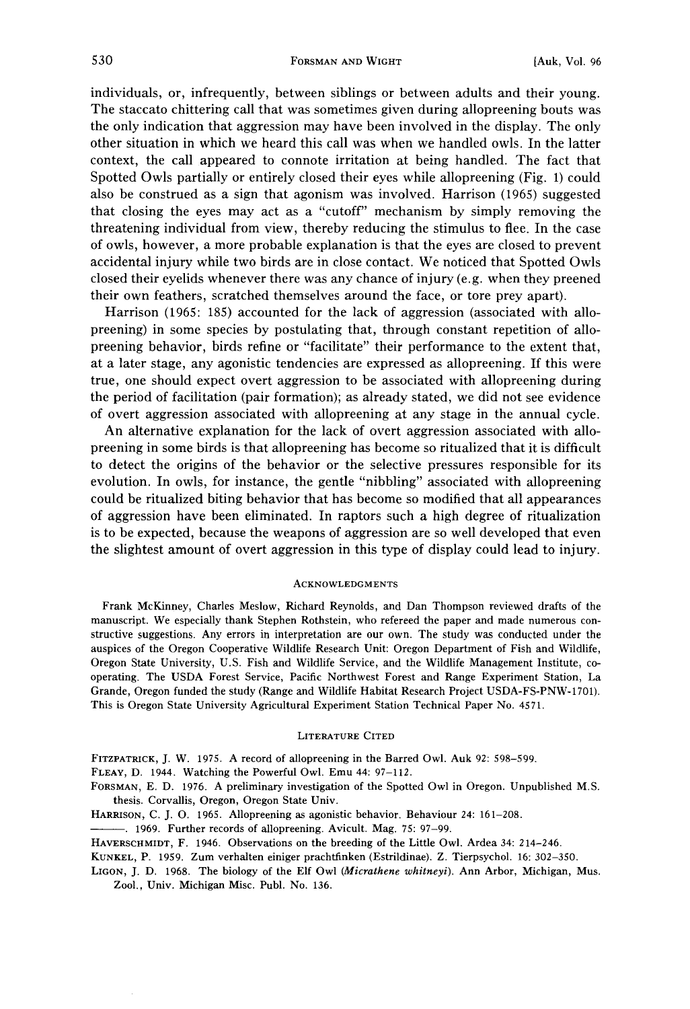**individuals, or, infrequently, between siblings or between adults and their young. The staccato chittering call that was sometimes given during allopreening bouts was the only indication that aggression may have been involved in the display. The only other situation in which we heard this call was when we handled owls. In the latter context, the call appeared to connote irritation at being handled. The fact that Spotted Owls partially or entirely closed their eyes while allopreening (Fig. 1) could also be construed as a sign that agonism was involved. Harrison (1965) suggested that closing the eyes may act as a "cutoff" mechanism by simply removing the threatening individual from view, thereby reducing the stimulus to flee. In the case of owls, however, a more probable explanation is that the eyes are closed to prevent accidental injury while two birds are in close contact. We noticed that Spotted Owls closed their eyelids whenever there was any chance of injury (e. g. when they preened their own feathers, scratched themselves around the face, or tore prey apart).** 

**Harrison (1965: 185) accounted for the lack of aggression (associated with allopreening) in some species by postulating that, through constant repetition of allopreening behavior, birds refine or "facilitate" their performance to the extent that, at a later stage, any agonistic tendencies are expressed as allopreening. If this were true, one should expect overt aggression to be associated with allopreening during the period of facilitation (pair formation); as already stated, we did not see evidence of overt aggression associated with allopreening at any stage in the annual cycle.** 

**An alternative explanation for the lack of overt aggression associated with allopreening in some birds is that allopreening has become so ritualized that it is difficult to detect the origins of the behavior or the selective pressures responsible for its evolution. In owls, for instance, the gentle "nibbling" associated with allopreening could be ritualized biting behavior that has become so modified that all appearances of aggression have been eliminated. In raptors such a high degree of ritualization is to be expected, because the weapons of aggression are so well developed that even the slightest amount of overt aggression in this type of display could lead to injury.** 

#### **ACKNOWLEDGMENTS**

**Frank McKinney, Charles Meslow, Richard Reynolds, and Dan Thompson reviewed drafts of the manuscript. We especially thank Stephen Rothstein, who refereed the paper and made numerous constructive suggestions. Any errors in interpretation are our own. The study was conducted under the auspices of the Oregon Cooperative Wildlife Research Unit: Oregon Department of Fish and Wildlife, Oregon State University, U.S. Fish and Wildlife Service, and the Wildlife Management Institute, cooperating. The USDA Forest Service, Pacific Northwest Forest and Range Experiment Station, La Grande, Oregon funded the study (Range and Wildlife Habitat Research Project USDA-FS-PNW-1701). This is Oregon State University Agricultural Experiment Station Technical Paper No. 4571.** 

#### **LITERATURE CITED**

**FITZrATRICK, J. W. 1975. A record of allopreening in the Barred Owl. Auk 92: 598-599.** 

FLEAY, D. 1944. Watching the Powerful Owl. Emu 44: 97-112.

- **FORSMAN, E. D. 1976. A preliminary investigation of the Spotted Owl in Oregon. Unpublished M.S. thesis. Corvallis, Oregon, Oregon State Univ.**
- **HARRISON, C. J. O. 1965. Allopreening as agonistic behavior. Behaviour 24: 161-208.**
- **1969. Further records of allopreening. Avicult. Mag. 75: 97-99.**
- HAVERSCHMIDT, F. 1946. Observations on the breeding of the Little Owl. Ardea 34: 214-246.

**KUNKEL, P. 1959. Zum verhalten einiger prachtfinken (Estrildinae). Z. Tierpsychol. 16: 302-350.** 

**LIGON, J. D. 1968. The biology of the Elf Owl (Micrathene whitneyi). Ann Arbor, Michigan, Mus. Zool., Univ. Michigan Misc. Publ. No. 136.**